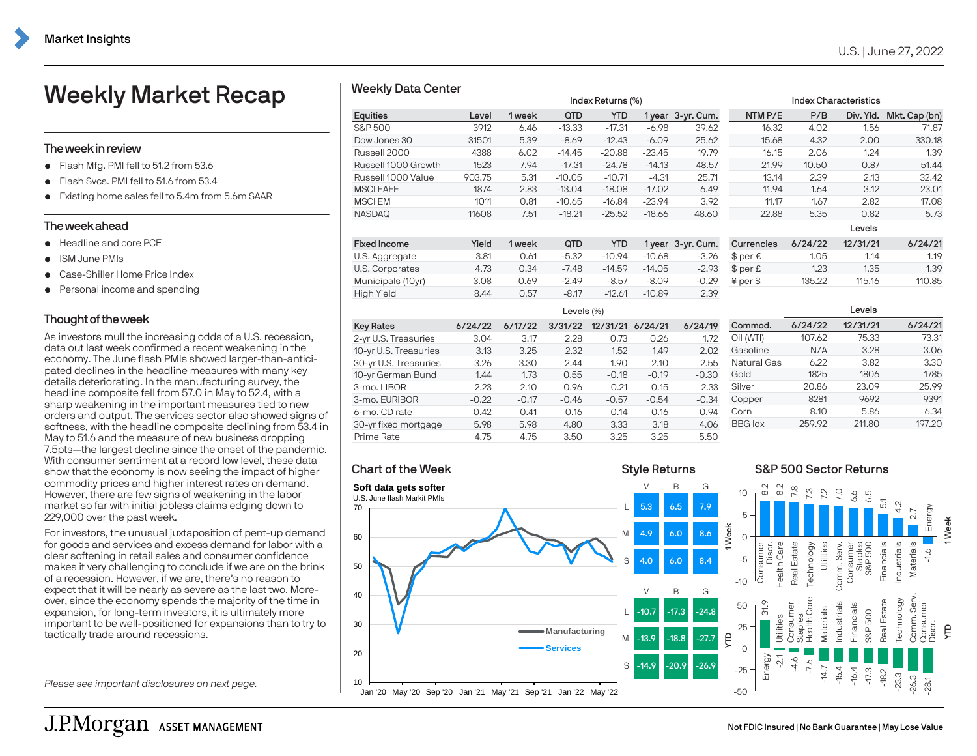# U.S. | June 27, 2022

# Weekly Market Recap

### Theweekin review

- $\bullet$  Flash Mfg. PMI fell to 51.2 from 53.6
- Flash Svcs. PMI fell to 51.6 from 53.4
- Existing home sales fell to 5.4m from 5.6m SAAR

#### Theweekahead

- Headline and core PCF
- **·** ISM June PMIs
- Case-Shiller Home Price Index
- Personal income and spending

## Thought of the week

As investors mull the increasing odds of a U.S. recession, data out last week confirmed a recent weakening in the economy. The June flash PMIs showed larger-than-anticipated declines in the headline measures with many key details deteriorating. In the manufacturing survey, the headline composite fell from 57.0 in May to 52.4, with a sharp weakening in the important measures tied to new orders and output. The services sector also showed signs of softness, with the headline composite declining from 53.4 in May to 51.6 and the measure of new business dropping 7.5pts—the largest decline since the onset of the pandemic. With consumer sentiment at a record low level, these data show that the economy is now seeing the impact of higher commodity prices and higher interest rates on demand. However, there are few signs of weakening in the labor market so far with initial jobless claims edging down to 229,000 over the past week. Weekly Market Recap<br>
The weekin review<br>
The weekin review<br>
The weekin review<br>
The weeking book and the state form 53.4<br>
Cash Sons. PM foll to 51.4 from 5.4 from 5.4 and 2000 Growth<br>
Cash Sons. PM foll to 51.4 from 5.4 and

For investors, the unusual juxtaposition of pent-up demand for goods and services and excess demand for labor with a clear softening in retail sales and consumer confidence makes it very challenging to conclude if we are on the brink of a recession. However, if we are, there's no reason to expect that it will be nearly as severe as the last two. Moreover, since the economy spends the majority of the time in expansion, for long-term investors, it is ultimately more important to be well-positioned for expansions than to try to

Please see important disclosures on next page.

|                     |        | Index Returns (%) |          |            |          |       | <b>Index Characteristics</b> |       |           |               |
|---------------------|--------|-------------------|----------|------------|----------|-------|------------------------------|-------|-----------|---------------|
| Equities            | Level  | 1 week            | QTD      | <b>YTD</b> |          |       | NTM P/E                      | P/B   | Div. Yld. | Mkt. Cap (bn) |
| S&P 500             | 3912   | 6.46              | $-13.33$ | $-17.31$   | $-6.98$  | 39.62 | 16.32                        | 4.02  | 1.56      | 71.87         |
| Dow Jones 30        | 31501  | 5.39              | $-8.69$  | $-12.43$   | $-6.09$  | 25.62 | 15.68                        | 4.32  | 2.00      | 330.18        |
| Russell 2000        | 4388   | 6.02              | $-14.45$ | $-20.88$   | $-23.45$ | 19.79 | 16.15                        | 2.06  | 1.24      | 1.39          |
| Russell 1000 Growth | 1523   | 7.94              | $-17.31$ | $-24.78$   | $-14.13$ | 48.57 | 21.99                        | 10.50 | 0.87      | 51.44         |
| Russell 1000 Value  | 903.75 | 5.31              | $-10.05$ | $-10.71$   | $-4.31$  | 25.71 | 13.14                        | 2.39  | 2.13      | 32.42         |
| <b>MSCI EAFE</b>    | 1874   | 2.83              | $-13.04$ | $-18.08$   | $-17.02$ | 6.49  | 11.94                        | 1.64  | 3.12      | 23.01         |
| <b>MSCIEM</b>       | 1011   | 0.81              | $-10.65$ | $-16.84$   | $-23.94$ | 3.92  | 11.17                        | 1.67  | 2.82      | 17.08         |
| <b>NASDAQ</b>       | 11608  | 7.51              | $-18.21$ | $-25.52$   | $-18.66$ | 48.60 | 22.88                        | 5.35  | 0.82      | 5.73          |
|                     |        |                   |          |            |          |       |                              |       | l evels   |               |

| <b>Fixed Income</b> | Yield | 1 week | QTD     | <b>YTD</b> |          | 1 year 3-yr. Cum. | Currencies  | 6/24/22 | 12/31/21 | 6/24/21 |
|---------------------|-------|--------|---------|------------|----------|-------------------|-------------|---------|----------|---------|
| U.S. Aggregate      | 3.81  | 0.61   | $-5.32$ | $-10.94$   | $-10.68$ | $-3.26$           | $$$ per €   | 1.05    | 1.14     | 1.19    |
| U.S. Corporates     | 4.73  | 0.34   | $-7.48$ | $-14.59$   | $-14.05$ | $-2.93$           | $$$ per $£$ | 1.23    | 1.35     | 1.39    |
| Municipals (10yr)   | 3.08  | 0.69   | $-2.49$ | $-8.57$    | $-8.09$  | $-0.29$           | $¥$ per $$$ | 135.22  | 115.16   | 110.85  |
| High Yield          | 8.44  | 0.57   | $-8.17$ | $-12.61$   | $-10.89$ | 2.39              |             |         |          |         |

|                       |         |         | Levels $(\%)$ |          |         | Levels  |                |         |          |         |
|-----------------------|---------|---------|---------------|----------|---------|---------|----------------|---------|----------|---------|
| <b>Key Rates</b>      | 6/24/22 | 6/17/22 | 3/31/22       | 12/31/21 | 6/24/21 | 6/24/19 | Commod.        | 6/24/22 | 12/31/21 | 6/24/21 |
| 2-yr U.S. Treasuries  | 3.04    | 3.17    | 2.28          | 0.73     | 0.26    | 1.72    | Oil (WTI)      | 107.62  | 75.33    | 73.31   |
| 10-yr U.S. Treasuries | 3.13    | 3.25    | 2.32          | 1.52     | 1.49    | 2.02    | Gasoline       | N/A     | 3.28     | 3.06    |
| 30-yr U.S. Treasuries | 3.26    | 3.30    | 2.44          | 1.90     | 2.10    | 2.55    | Natural Gas    | 6.22    | 3.82     | 3.30    |
| 10-yr German Bund     | 1.44    | 1.73    | 0.55          | $-0.18$  | $-0.19$ | $-0.30$ | Gold           | 1825    | 1806     | 1785    |
| 3-mo. LIBOR           | 2.23    | 2.10    | 0.96          | 0.21     | 0.15    | 2.33    | Silver         | 20.86   | 23.09    | 25.99   |
| 3-mo. EURIBOR         | $-0.22$ | $-0.17$ | $-0.46$       | $-0.57$  | $-0.54$ | $-0.34$ | Copper         | 8281    | 9692     | 9391    |
| 6-mo. CD rate         | 0.42    | 0.41    | 0.16          | 0.14     | 0.16    | 0.94    | Corn           | 8.10    | 5.86     | 6.34    |
| 30-yr fixed mortgage  | 5.98    | 5.98    | 4.80          | 3.33     | 3.18    | 4.06    | <b>BBG Idx</b> | 259.92  | 211.80   | 197.20  |
| Prime Rate            | 4.75    | 4.75    | 3.50          | 3.25     | 3.25    | 5.50    |                |         |          |         |